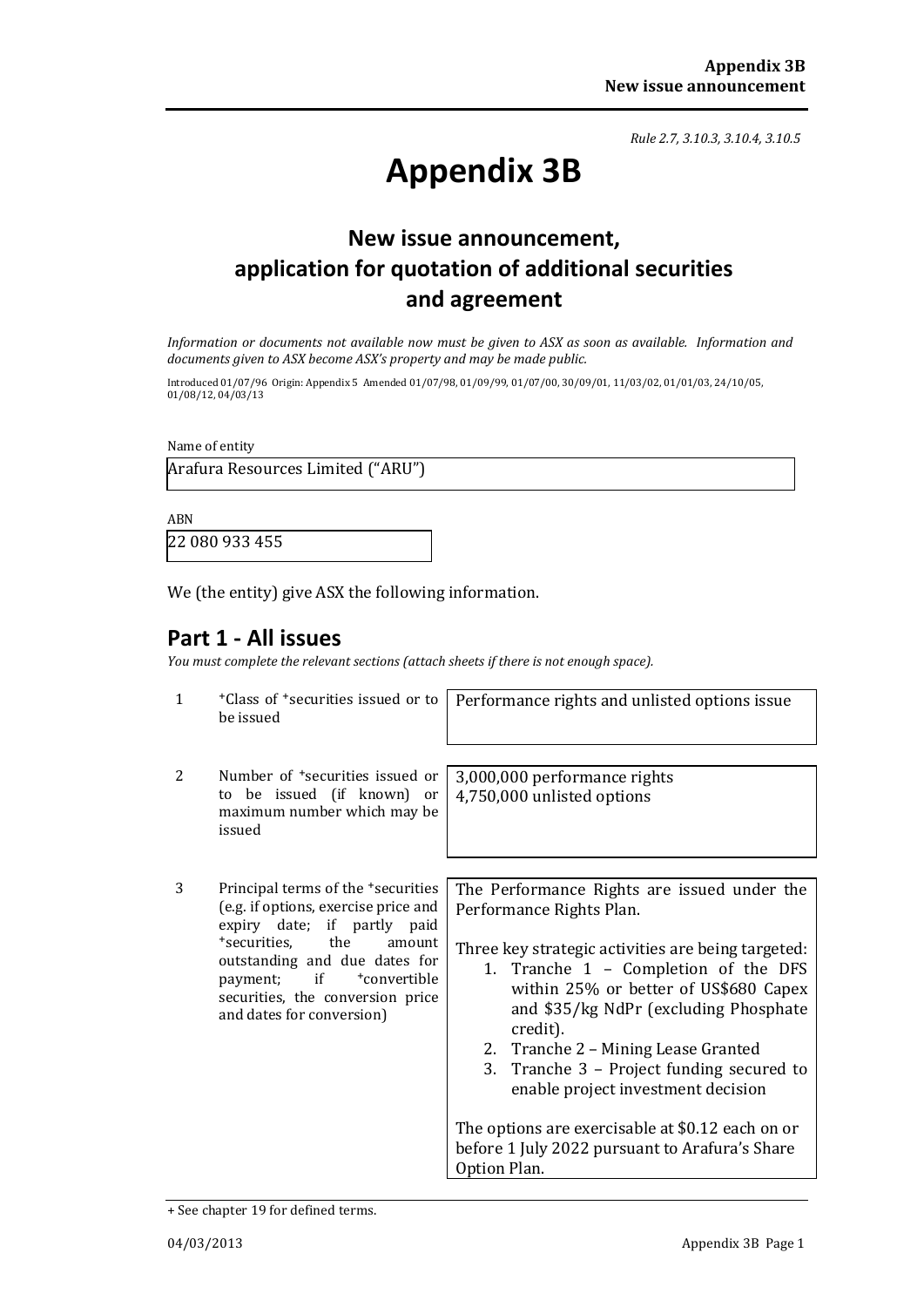*Rule 2.7, 3.10.3, 3.10.4, 3.10.5*

# **Appendix 3B**

# **New issue announcement, application for quotation of additional securities and agreement**

*Information or documents not available now must be given to ASX as soon as available. Information and documents given to ASX become ASX's property and may be made public.*

Introduced 01/07/96 Origin: Appendix 5 Amended 01/07/98, 01/09/99, 01/07/00, 30/09/01, 11/03/02, 01/01/03, 24/10/05, 01/08/12, 04/03/13

Name of entity

Arafura Resources Limited ("ARU")

ABN

22 080 933 455

We (the entity) give ASX the following information.

## **Part 1 - All issues**

*You must complete the relevant sections (attach sheets if there is not enough space).*

| $\mathbf{1}$ | <sup>+</sup> Class of <sup>+</sup> securities issued or to<br>be issued                                                                                                                                                                                                                             | Performance rights and unlisted options issue                                                                                                                                                                                                                                                                                                                                                                                                                                                                       |
|--------------|-----------------------------------------------------------------------------------------------------------------------------------------------------------------------------------------------------------------------------------------------------------------------------------------------------|---------------------------------------------------------------------------------------------------------------------------------------------------------------------------------------------------------------------------------------------------------------------------------------------------------------------------------------------------------------------------------------------------------------------------------------------------------------------------------------------------------------------|
| 2            | Number of <sup>+</sup> securities issued or<br>to be issued (if known) or<br>maximum number which may be<br>issued                                                                                                                                                                                  | 3,000,000 performance rights<br>4,750,000 unlisted options                                                                                                                                                                                                                                                                                                                                                                                                                                                          |
| 3            | Principal terms of the <sup>+</sup> securities<br>(e.g. if options, exercise price and<br>expiry date; if partly paid<br>*securities, the<br>amount<br>outstanding and due dates for<br>if<br>payment;<br><sup>+</sup> convertible<br>securities, the conversion price<br>and dates for conversion) | The Performance Rights are issued under the<br>Performance Rights Plan.<br>Three key strategic activities are being targeted:<br>1. Tranche 1 - Completion of the DFS<br>within 25% or better of US\$680 Capex<br>and \$35/kg NdPr (excluding Phosphate<br>credit).<br>2. Tranche 2 – Mining Lease Granted<br>3. Tranche 3 – Project funding secured to<br>enable project investment decision<br>The options are exercisable at \$0.12 each on or<br>before 1 July 2022 pursuant to Arafura's Share<br>Option Plan. |

<sup>+</sup> See chapter 19 for defined terms.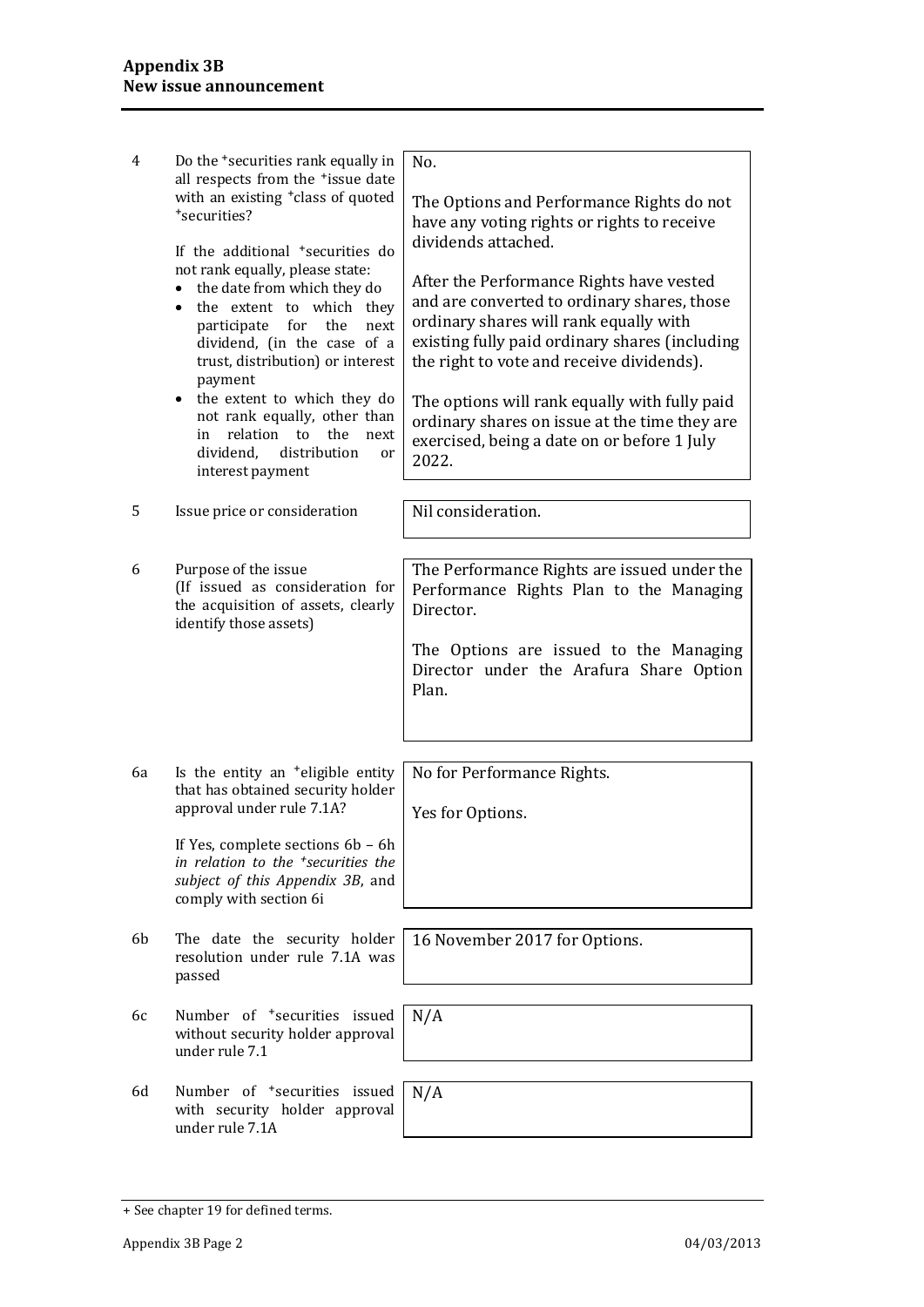| 4  | Do the <sup>+</sup> securities rank equally in<br>all respects from the <sup>+</sup> issue date                                                                                                                                                                                                                          | No.                                                                                                                                                                                                                                                                               |
|----|--------------------------------------------------------------------------------------------------------------------------------------------------------------------------------------------------------------------------------------------------------------------------------------------------------------------------|-----------------------------------------------------------------------------------------------------------------------------------------------------------------------------------------------------------------------------------------------------------------------------------|
|    | with an existing <sup>+</sup> class of quoted<br>*securities?                                                                                                                                                                                                                                                            | The Options and Performance Rights do not<br>have any voting rights or rights to receive<br>dividends attached.                                                                                                                                                                   |
|    | If the additional <sup>+</sup> securities do<br>not rank equally, please state:<br>the date from which they do<br>$\bullet$<br>the extent to which they<br>$\bullet$<br>participate<br>for<br>the<br>next<br>dividend, (in the case of a<br>trust, distribution) or interest<br>payment<br>• the extent to which they do | After the Performance Rights have vested<br>and are converted to ordinary shares, those<br>ordinary shares will rank equally with<br>existing fully paid ordinary shares (including<br>the right to vote and receive dividends).<br>The options will rank equally with fully paid |
|    | not rank equally, other than<br>relation to the<br>in<br>next<br>dividend, distribution<br>or<br>interest payment                                                                                                                                                                                                        | ordinary shares on issue at the time they are<br>exercised, being a date on or before 1 July<br>2022.                                                                                                                                                                             |
| 5  | Issue price or consideration                                                                                                                                                                                                                                                                                             | Nil consideration.                                                                                                                                                                                                                                                                |
| 6  | Purpose of the issue<br>(If issued as consideration for<br>the acquisition of assets, clearly                                                                                                                                                                                                                            | The Performance Rights are issued under the<br>Performance Rights Plan to the Managing<br>Director.                                                                                                                                                                               |
|    | identify those assets)                                                                                                                                                                                                                                                                                                   | The Options are issued to the Managing<br>Director under the Arafura Share Option<br>Plan.                                                                                                                                                                                        |
|    |                                                                                                                                                                                                                                                                                                                          |                                                                                                                                                                                                                                                                                   |
| 6a | Is the entity an <sup>+</sup> eligible entity<br>that has obtained security holder<br>approval under rule 7.1A?                                                                                                                                                                                                          | No for Performance Rights.                                                                                                                                                                                                                                                        |
|    | If Yes, complete sections 6b - 6h<br>in relation to the <sup>+</sup> securities the<br>subject of this Appendix 3B, and<br>comply with section 6i                                                                                                                                                                        | Yes for Options.                                                                                                                                                                                                                                                                  |
| 6b | The date the security holder<br>resolution under rule 7.1A was<br>passed                                                                                                                                                                                                                                                 | 16 November 2017 for Options.                                                                                                                                                                                                                                                     |
| 6с | Number of <sup>+</sup> securities issued<br>without security holder approval<br>under rule 7.1                                                                                                                                                                                                                           | N/A                                                                                                                                                                                                                                                                               |
| 6d | Number of <sup>+</sup> securities issued<br>with security holder approval<br>under rule 7.1A                                                                                                                                                                                                                             | N/A                                                                                                                                                                                                                                                                               |

<sup>+</sup> See chapter 19 for defined terms.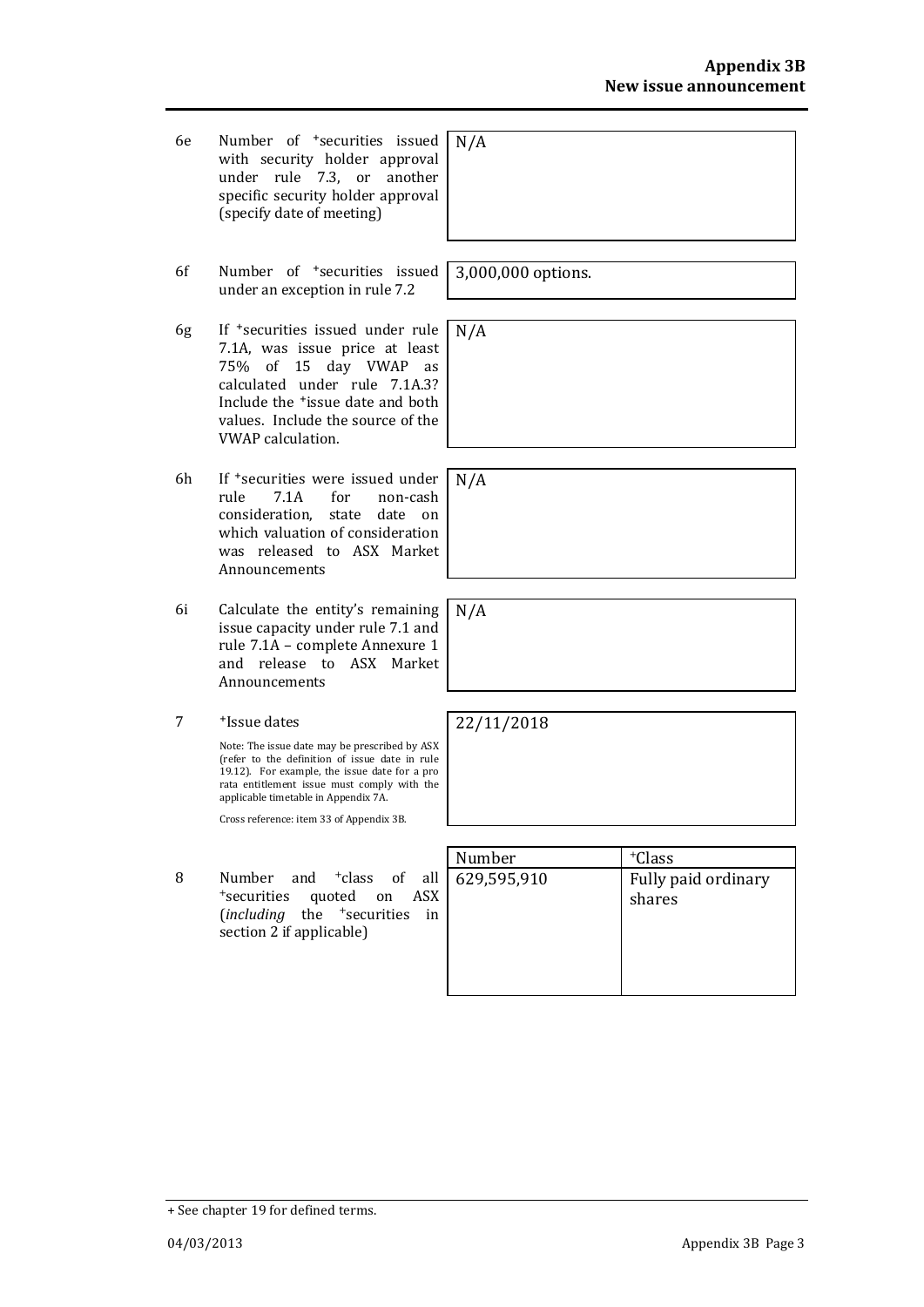- 6e Number of +securities issued with security holder approval under rule 7.3, or another specific security holder approval (specify date of meeting)
- 6f Number of +securities issued under an exception in rule 7.2
- 6g If +securities issued under rule 7.1A, was issue price at least 75% of 15 day VWAP as calculated under rule 7.1A.3? Include the +issue date and both values. Include the source of the VWAP calculation.
- 6h If +securities were issued under rule 7.1A for non-cash consideration, state date on which valuation of consideration was released to ASX Market Announcements
- 6i Calculate the entity's remaining issue capacity under rule 7.1 and rule 7.1A – complete Annexure 1 and release to ASX Market Announcements
- 7 +Issue dates

Note: The issue date may be prescribed by ASX (refer to the definition of issue date in rule 19.12). For example, the issue date for a pro rata entitlement issue must comply with the applicable timetable in Appendix 7A.

Cross reference: item 33 of Appendix 3B.

8 Number and <sup>+</sup>class of all <sup>+</sup>securities quoted on ASX (*including* the <sup>+</sup>securities in section 2 if applicable)

N/A

3,000,000 options.

N/A

N/A

N/A

22/11/2018

| Number      | <sup>+</sup> Class            |
|-------------|-------------------------------|
| 629,595,910 | Fully paid ordinary<br>shares |

<sup>+</sup> See chapter 19 for defined terms.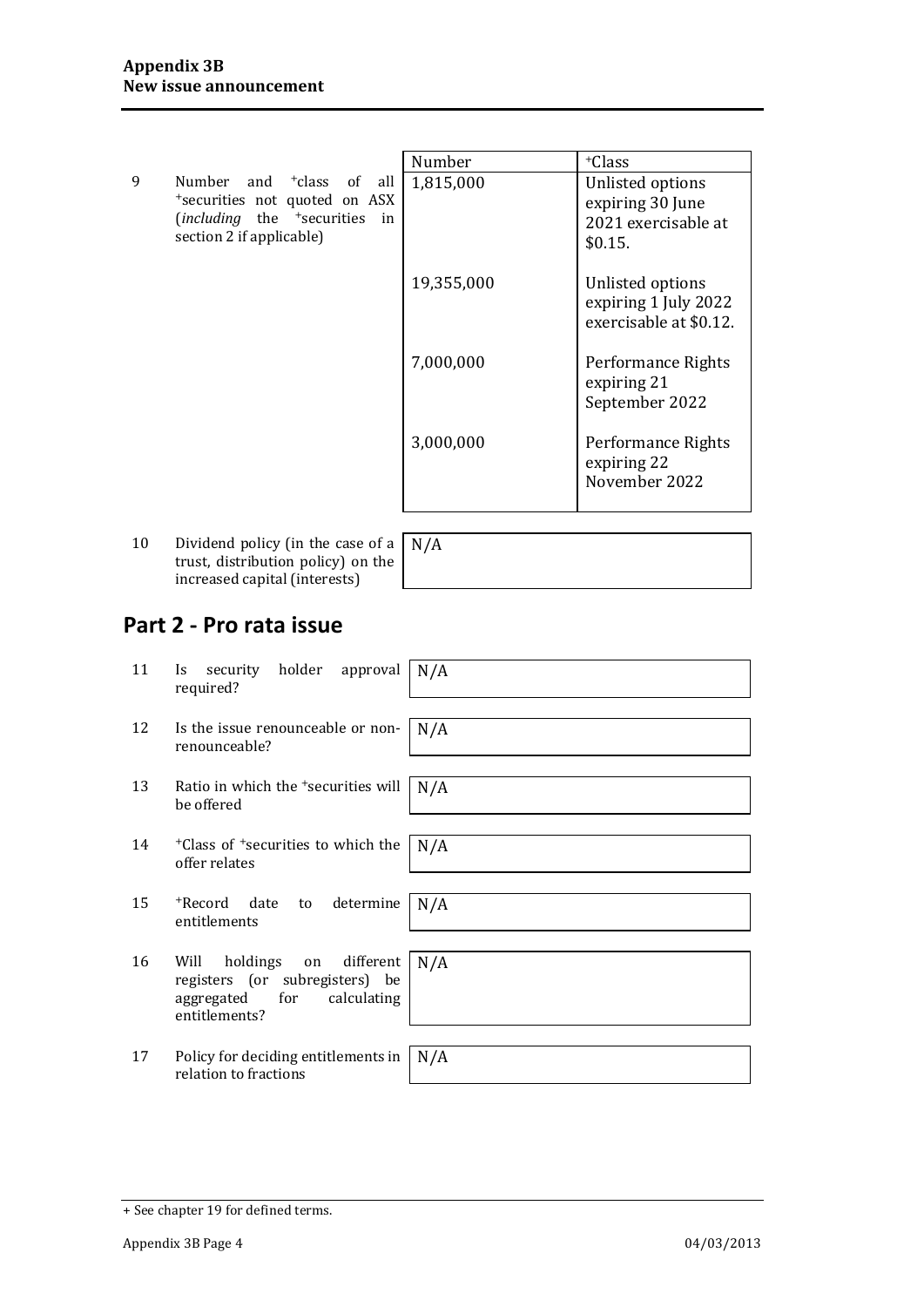|   |                                                      | Number     | <sup>+</sup> Class     |
|---|------------------------------------------------------|------------|------------------------|
|   |                                                      |            |                        |
| 9 | Number and <sup>+</sup> class of all                 | 1,815,000  | Unlisted options       |
|   | *securities not quoted on ASX                        |            | expiring 30 June       |
|   | ( <i>including</i> the <sup>+</sup> securities<br>in |            | 2021 exercisable at    |
|   | section 2 if applicable)                             |            | \$0.15.                |
|   |                                                      |            |                        |
|   |                                                      |            |                        |
|   |                                                      | 19,355,000 | Unlisted options       |
|   |                                                      |            | expiring 1 July 2022   |
|   |                                                      |            | exercisable at \$0.12. |
|   |                                                      |            |                        |
|   |                                                      | 7,000,000  | Performance Rights     |
|   |                                                      |            | expiring 21            |
|   |                                                      |            | September 2022         |
|   |                                                      |            |                        |
|   |                                                      | 3,000,000  | Performance Rights     |
|   |                                                      |            |                        |
|   |                                                      |            | expiring 22            |
|   |                                                      |            | November 2022          |
|   |                                                      |            |                        |
|   |                                                      |            |                        |

10 Dividend policy (in the case of a trust, distribution policy) on the increased capital (interests)

N/A

## **Part 2 - Pro rata issue**

| 11 | holder<br>security<br>approval<br>Is.<br>required?                                                                   | N/A |
|----|----------------------------------------------------------------------------------------------------------------------|-----|
| 12 | Is the issue renounceable or non-<br>renounceable?                                                                   | N/A |
| 13 | Ratio in which the <sup>+</sup> securities will<br>be offered                                                        | N/A |
| 14 | <sup>+</sup> Class of <sup>+</sup> securities to which the<br>offer relates                                          | N/A |
| 15 | determine<br>+Record date<br>to<br>entitlements                                                                      | N/A |
| 16 | different<br>holdings on<br>Will<br>registers (or subregisters) be<br>aggregated for<br>calculating<br>entitlements? | N/A |
| 17 | Policy for deciding entitlements in<br>relation to fractions                                                         | N/A |

<sup>+</sup> See chapter 19 for defined terms.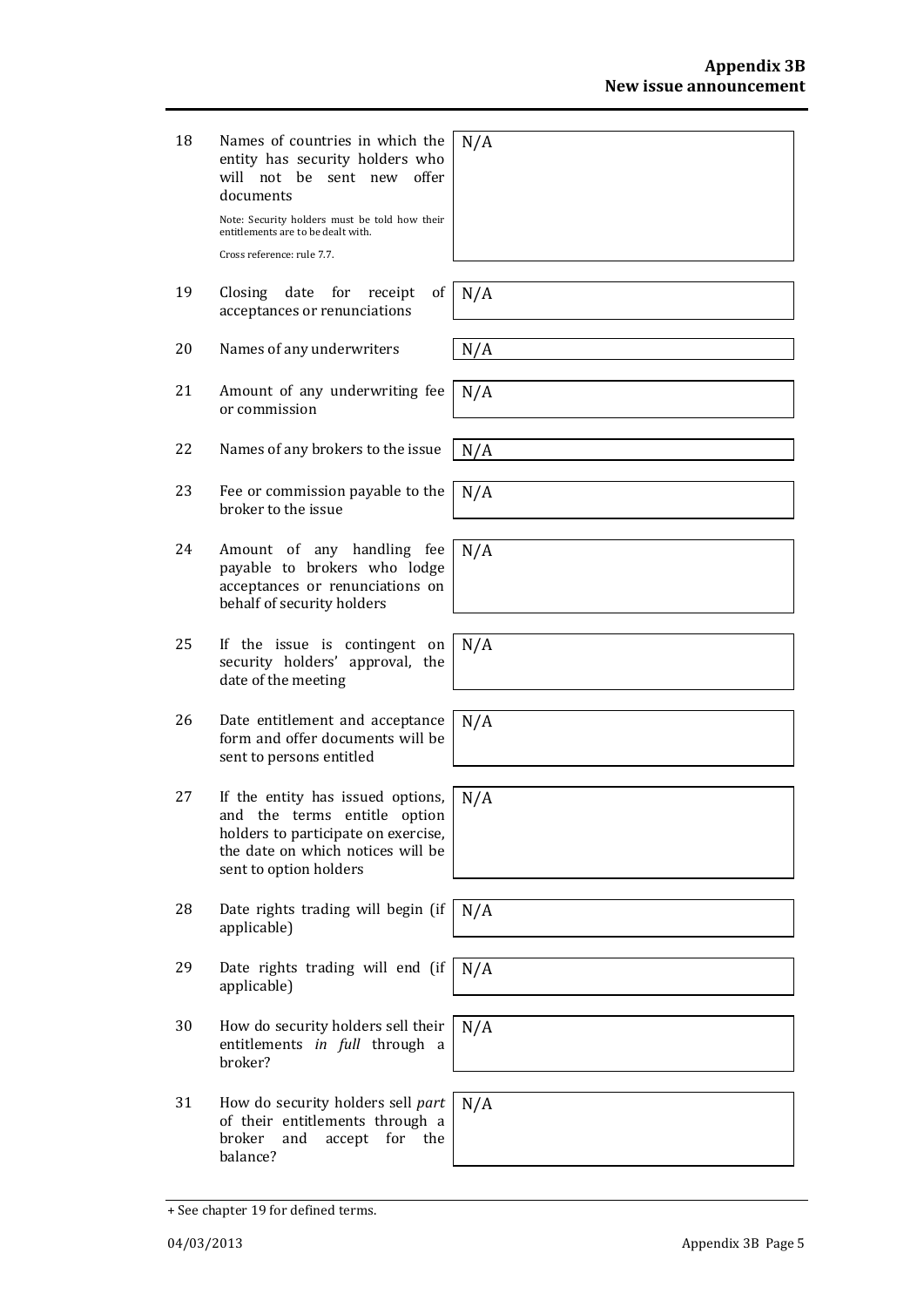18 Names of countries in which the entity has security holders who will not be sent new offer documents

Note: Security holders must be told how their entitlements are to be dealt with. Cross reference: rule 7.7.

- 19 Closing date for receipt of acceptances or renunciations
- 20 Names of any underwriters  $N/A$
- 21 Amount of any underwriting fee or commission
- 22 Names of any brokers to the issue  $\mid N/A$
- 23 Fee or commission payable to the broker to the issue
- 24 Amount of any handling fee payable to brokers who lodge acceptances or renunciations on behalf of security holders
- 25 If the issue is contingent on security holders' approval, the date of the meeting
- 26 Date entitlement and acceptance form and offer documents will be sent to persons entitled
- 27 If the entity has issued options, and the terms entitle option holders to participate on exercise, the date on which notices will be sent to option holders
- 28 Date rights trading will begin (if applicable)
- 29 Date rights trading will end (if applicable)
- 30 How do security holders sell their entitlements *in full* through a broker?
- 31 How do security holders sell *part* of their entitlements through a broker and accept for the balance?

N/A

N/A

N/A

N/A

N/A

N/A

N/A

 $\overline{N}/A$ 

N/A

N/A

N/A

N/A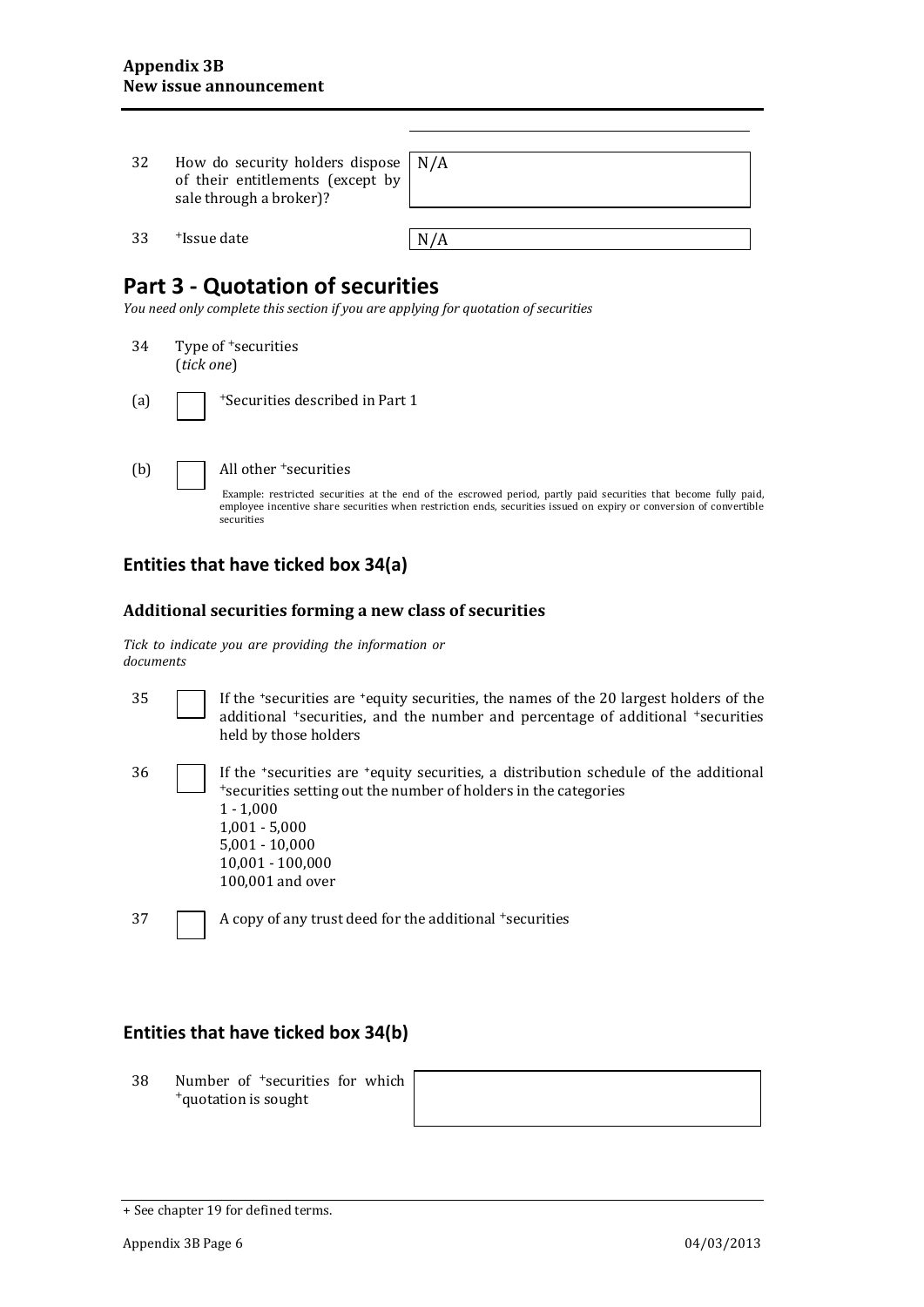| 32            | How do security holders dispose<br>of their entitlements (except by<br>sale through a broker)? | N/A |
|---------------|------------------------------------------------------------------------------------------------|-----|
| 33            | <sup>+</sup> Issue date                                                                        | N/A |
|               | <b>Part 3 - Quotation of securities</b>                                                        |     |
|               | You need only complete this section if you are applying for quotation of securities            |     |
| 34            | Type of <sup>+</sup> securities<br>(tick one)                                                  |     |
| $\sim$ $\sim$ | $\overline{a}$                                                                                 |     |

(a)  $\Box$  + Securities described in Part 1

(b) All other <sup>+</sup>securities

Example: restricted securities at the end of the escrowed period, partly paid securities that become fully paid, employee incentive share securities when restriction ends, securities issued on expiry or conversion of convertible securities

#### **Entities that have ticked box 34(a)**

#### **Additional securities forming a new class of securities**

*Tick to indicate you are providing the information or documents*

| 35 | If the 'securities are 'equity securities, the names of the 20 largest holders of the<br>additional <sup>+</sup> securities, and the number and percentage of additional <sup>+</sup> securities<br>held by those holders                               |
|----|---------------------------------------------------------------------------------------------------------------------------------------------------------------------------------------------------------------------------------------------------------|
| 36 | If the 'securities are 'equity securities, a distribution schedule of the additional<br>*securities setting out the number of holders in the categories<br>$1 - 1,000$<br>$1,001 - 5,000$<br>$5,001 - 10,000$<br>$10,001 - 100,000$<br>100,001 and over |
| 37 | A copy of any trust deed for the additional + securities                                                                                                                                                                                                |

### **Entities that have ticked box 34(b)**

38 Number of <sup>+</sup>securities for which +quotation is sought

<sup>+</sup> See chapter 19 for defined terms.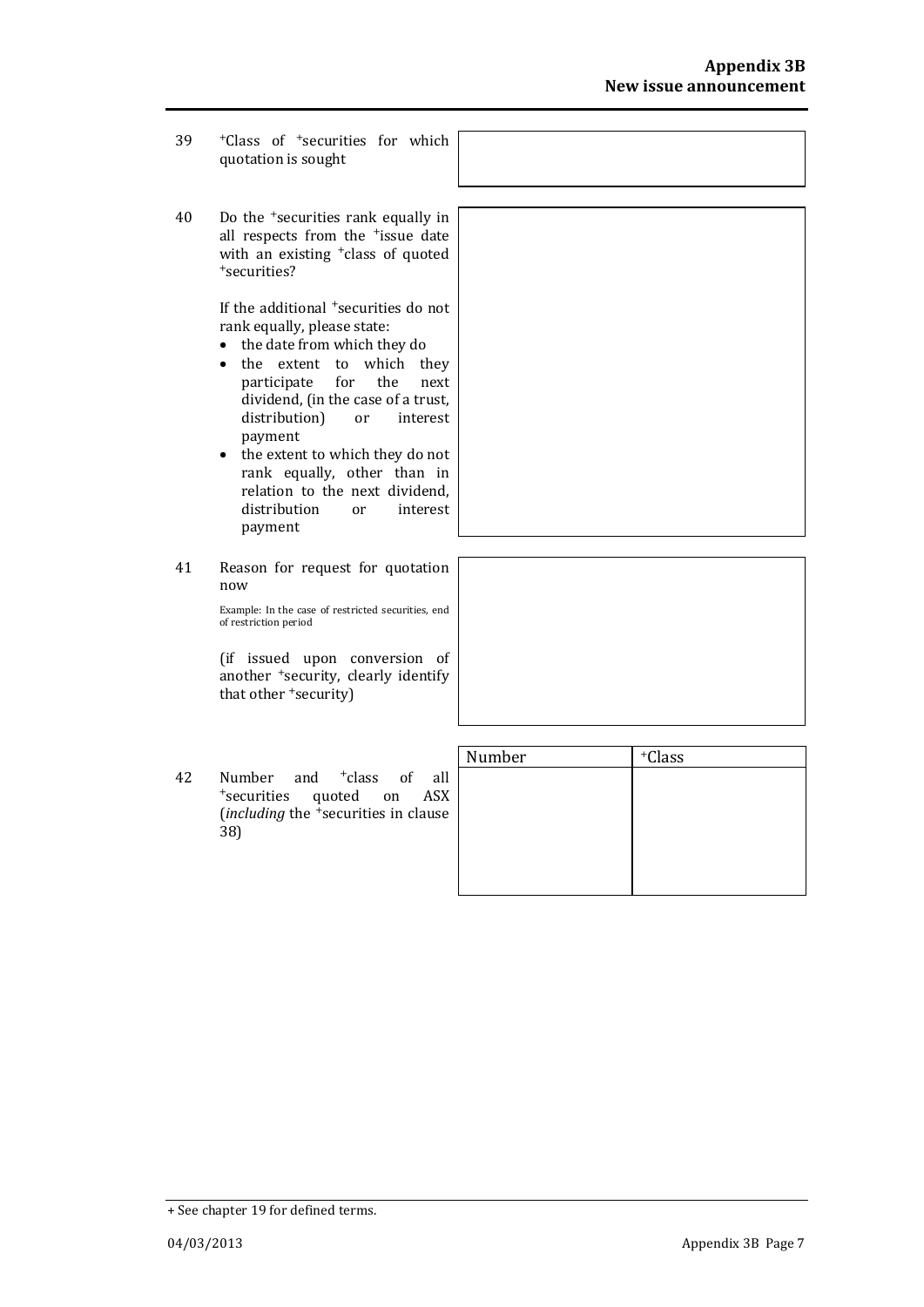- 39 <sup>+</sup>Class of <sup>+</sup>securities for which quotation is sought
- 40 Do the <sup>+</sup>securities rank equally in all respects from the <sup>+</sup>issue date with an existing <sup>+</sup>class of quoted <sup>+</sup>securities?

If the additional <sup>+</sup>securities do not rank equally, please state:

- the date from which they do
- the extent to which they participate for the next dividend, (in the case of a trust, distribution) or interest payment
- the extent to which they do not rank equally, other than in relation to the next dividend, distribution or interest payment
- 41 Reason for request for quotation now

Example: In the case of restricted securities, end of restriction period

(if issued upon conversion of another <sup>+</sup>security, clearly identify that other <sup>+</sup>security)

42 Number and <sup>+</sup>class of all <sup>+</sup>securities quoted on ASX (*including* the <sup>+</sup>securities in clause 38)

| Number | <sup>+</sup> Class |  |
|--------|--------------------|--|
|        |                    |  |
|        |                    |  |
|        |                    |  |
|        |                    |  |
|        |                    |  |

|                     |  | <sup>+</sup> Class of <sup>+</sup> securities for which |  |  |  |
|---------------------|--|---------------------------------------------------------|--|--|--|
| quotation is sought |  |                                                         |  |  |  |